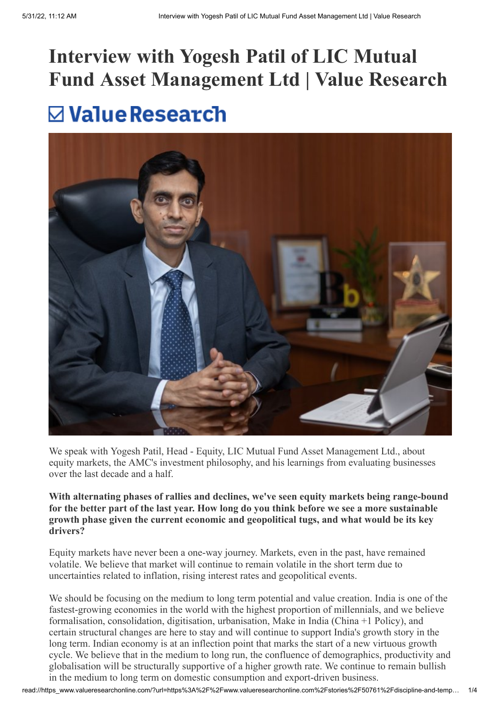# **Interview with Yogesh Patil of LIC Mutual Fund Asset Management Ltd | Value Research** $\nabla$  Value Research



We speak with Yogesh Patil, Head - Equity, LIC Mutual Fund Asset Management Ltd., about equity markets, the AMC's investment philosophy, and his learnings from evaluating businesses over the last decade and a half.

#### **With alternating phases of rallies and declines, we've seen equity markets being range-bound for the better part of the last year. How long do you think before we see a more sustainable growth phase given the current economic and geopolitical tugs, and what would be its key drivers?**

Equity markets have never been a one-way journey. Markets, even in the past, have remained volatile. We believe that market will continue to remain volatile in the short term due to uncertainties related to inflation, rising interest rates and geopolitical events.

We should be focusing on the medium to long term potential and value creation. India is one of the fastest-growing economies in the world with the highest proportion of millennials, and we believe formalisation, consolidation, digitisation, urbanisation, Make in India (China +1 Policy), and certain structural changes are here to stay and will continue to support India's growth story in the long term. Indian economy is at an inflection point that marks the start of a new virtuous growth cycle. We believe that in the medium to long run, the confluence of demographics, productivity and globalisation will be structurally supportive of a higher growth rate. We continue to remain bullish in the medium to long term on domestic consumption and export-driven business.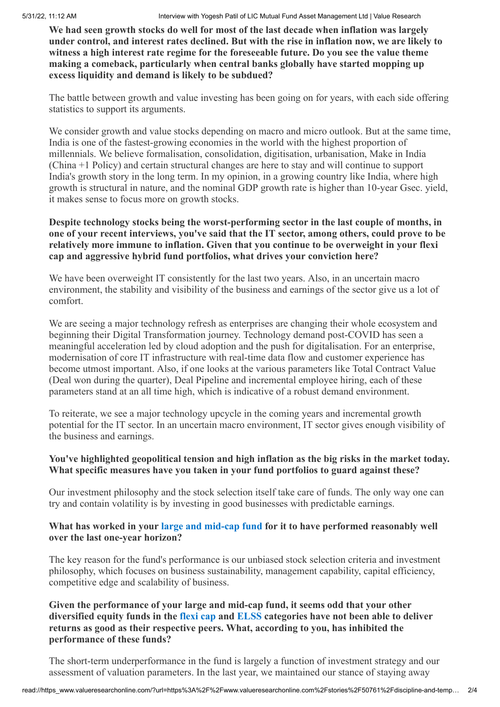**We had seen growth stocks do well for most of the last decade when inflation was largely under control, and interest rates declined. But with the rise in inflation now, we are likely to witness a high interest rate regime for the foreseeable future. Do you see the value theme making a comeback, particularly when central banks globally have started mopping up excess liquidity and demand is likely to be subdued?**

The battle between growth and value investing has been going on for years, with each side offering statistics to support its arguments.

We consider growth and value stocks depending on macro and micro outlook. But at the same time, India is one of the fastest-growing economies in the world with the highest proportion of millennials. We believe formalisation, consolidation, digitisation, urbanisation, Make in India (China +1 Policy) and certain structural changes are here to stay and will continue to support India's growth story in the long term. In my opinion, in a growing country like India, where high growth is structural in nature, and the nominal GDP growth rate is higher than 10-year Gsec. yield, it makes sense to focus more on growth stocks.

#### **Despite technology stocks being the worst-performing sector in the last couple of months, in one of your recent interviews, you've said that the IT sector, among others, could prove to be relatively more immune to inflation. Given that you continue to be overweight in your flexi cap and aggressive hybrid fund portfolios, what drives your conviction here?**

We have been overweight IT consistently for the last two years. Also, in an uncertain macro environment, the stability and visibility of the business and earnings of the sector give us a lot of comfort.

We are seeing a major technology refresh as enterprises are changing their whole ecosystem and beginning their Digital Transformation journey. Technology demand post-COVID has seen a meaningful acceleration led by cloud adoption and the push for digitalisation. For an enterprise, modernisation of core IT infrastructure with real-time data flow and customer experience has become utmost important. Also, if one looks at the various parameters like Total Contract Value (Deal won during the quarter), Deal Pipeline and incremental employee hiring, each of these parameters stand at an all time high, which is indicative of a robust demand environment.

To reiterate, we see a major technology upcycle in the coming years and incremental growth potential for the IT sector. In an uncertain macro environment, IT sector gives enough visibility of the business and earnings.

## **You've highlighted geopolitical tension and high inflation as the big risks in the market today. What specific measures have you taken in your fund portfolios to guard against these?**

Our investment philosophy and the stock selection itself take care of funds. The only way one can try and contain volatility is by investing in good businesses with predictable earnings.

## **What has worked in your [large and mid-cap fund](https://www.valueresearchonline.com/funds/29416/lic-mf-large-and-mid-cap-fund-direct-plan/) for it to have performed reasonably well over the last one-year horizon?**

The key reason for the fund's performance is our unbiased stock selection criteria and investment philosophy, which focuses on business sustainability, management capability, capital efficiency, competitive edge and scalability of business.

#### **Given the performance of your large and mid-cap fund, it seems odd that your other diversified equity funds in the [flexi cap](https://www.valueresearchonline.com/funds/selector/category/102/equity-flexi-cap/?end-type=1&plan-type=direct&exclude=suspended-plans) and [ELSS](https://www.valueresearchonline.com/funds/selector/category/106/equity-elss/?end-type=1&plan-type=direct&exclude=suspended-plans) categories have not been able to deliver returns as good as their respective peers. What, according to you, has inhibited the performance of these funds?**

The short-term underperformance in the fund is largely a function of investment strategy and our assessment of valuation parameters. In the last year, we maintained our stance of staying away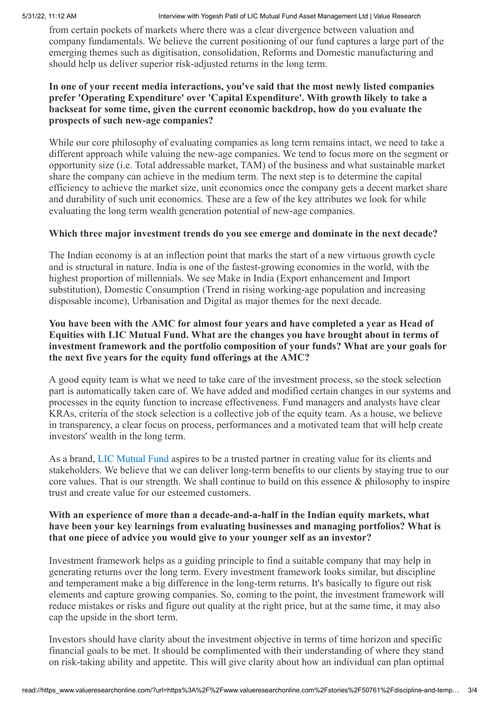#### 5/31/22, 11:12 AM Interview with Yogesh Patil of LIC Mutual Fund Asset Management Ltd | Value Research

from certain pockets of markets where there was a clear divergence between valuation and company fundamentals. We believe the current positioning of our fund captures a large part of the emerging themes such as digitisation, consolidation, Reforms and Domestic manufacturing and should help us deliver superior risk-adjusted returns in the long term.

#### **In one of your recent media interactions, you've said that the most newly listed companies prefer 'Operating Expenditure' over 'Capital Expenditure'. With growth likely to take a backseat for some time, given the current economic backdrop, how do you evaluate the prospects of such new-age companies?**

While our core philosophy of evaluating companies as long term remains intact, we need to take a different approach while valuing the new-age companies. We tend to focus more on the segment or opportunity size (i.e. Total addressable market, TAM) of the business and what sustainable market share the company can achieve in the medium term. The next step is to determine the capital efficiency to achieve the market size, unit economics once the company gets a decent market share and durability of such unit economics. These are a few of the key attributes we look for while evaluating the long term wealth generation potential of new-age companies.

#### **Which three major investment trends do you see emerge and dominate in the next decade?**

The Indian economy is at an inflection point that marks the start of a new virtuous growth cycle and is structural in nature. India is one of the fastest-growing economies in the world, with the highest proportion of millennials. We see Make in India (Export enhancement and Import substitution), Domestic Consumption (Trend in rising working-age population and increasing disposable income), Urbanisation and Digital as major themes for the next decade.

#### **You have been with the AMC for almost four years and have completed a year as Head of Equities with LIC Mutual Fund. What are the changes you have brought about in terms of investment framework and the portfolio composition of your funds? What are your goals for the next five years for the equity fund offerings at the AMC?**

A good equity team is what we need to take care of the investment process, so the stock selection part is automatically taken care of. We have added and modified certain changes in our systems and processes in the equity function to increase effectiveness. Fund managers and analysts have clear KRAs, criteria of the stock selection is a collective job of the equity team. As a house, we believe in transparency, a clear focus on process, performances and a motivated team that will help create investors' wealth in the long term.

As a brand, [LIC Mutual Fund](https://www.valueresearchonline.com/funds/selector/fund-house/21/lic-mutual-fund/?end-type=1&plan-type=direct&exclude=fmps%2Csuspended-plans&utm_source=footer&utm_medium=link&utm_campaign=amc-listing&utm_term=lic-mutual-fund) aspires to be a trusted partner in creating value for its clients and stakeholders. We believe that we can deliver long-term benefits to our clients by staying true to our core values. That is our strength. We shall continue to build on this essence & philosophy to inspire trust and create value for our esteemed customers.

#### **With an experience of more than a decade-and-a-half in the Indian equity markets, what have been your key learnings from evaluating businesses and managing portfolios? What is that one piece of advice you would give to your younger self as an investor?**

Investment framework helps as a guiding principle to find a suitable company that may help in generating returns over the long term. Every investment framework looks similar, but discipline and temperament make a big difference in the long-term returns. It's basically to figure out risk elements and capture growing companies. So, coming to the point, the investment framework will reduce mistakes or risks and figure out quality at the right price, but at the same time, it may also cap the upside in the short term.

Investors should have clarity about the investment objective in terms of time horizon and specific financial goals to be met. It should be complimented with their understanding of where they stand on risk-taking ability and appetite. This will give clarity about how an individual can plan optimal